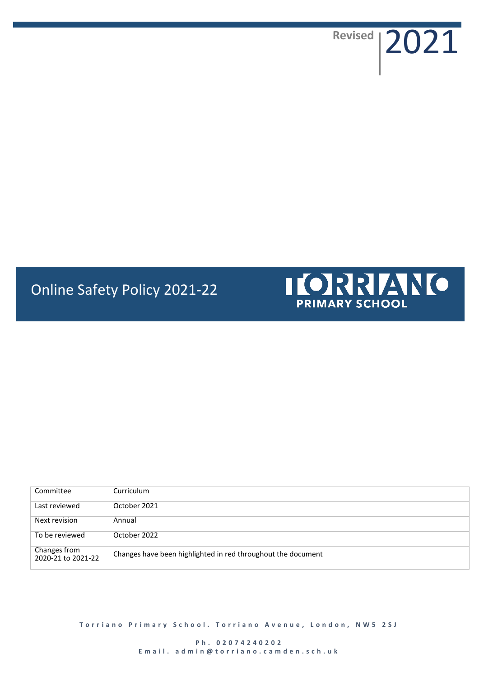**Revised** 2021

# Online Safety Policy 2021-22



| Committee                          | Curriculum                                                   |
|------------------------------------|--------------------------------------------------------------|
| Last reviewed                      | October 2021                                                 |
| Next revision                      | Annual                                                       |
| To be reviewed                     | October 2022                                                 |
| Changes from<br>2020-21 to 2021-22 | Changes have been highlighted in red throughout the document |

**Torriano Primary School. Torriano Avenue, London, NW5 2SJ** 

**P h . 0 2074240202** Email. admin@torriano.camden.sch.uk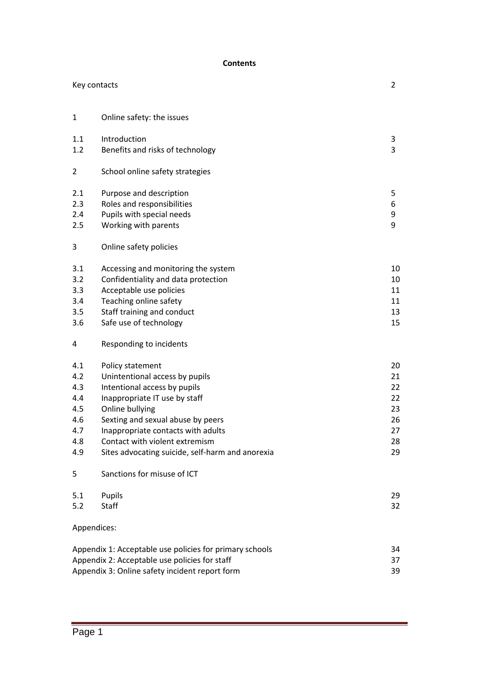#### **Contents**

| Key contacts |                                                         |    |  |
|--------------|---------------------------------------------------------|----|--|
| $\mathbf{1}$ | Online safety: the issues                               |    |  |
| 1.1          | Introduction                                            | 3  |  |
| 1.2          | Benefits and risks of technology                        | 3  |  |
| 2            | School online safety strategies                         |    |  |
| 2.1          | Purpose and description                                 | 5  |  |
| 2.3          | Roles and responsibilities                              | 6  |  |
| 2.4          | Pupils with special needs                               | 9  |  |
| 2.5          | Working with parents                                    | 9  |  |
| 3            | Online safety policies                                  |    |  |
| 3.1          | Accessing and monitoring the system                     | 10 |  |
| 3.2          | Confidentiality and data protection                     | 10 |  |
| 3.3          | Acceptable use policies                                 | 11 |  |
| 3.4          | Teaching online safety                                  | 11 |  |
| 3.5          | Staff training and conduct                              | 13 |  |
| 3.6          | Safe use of technology                                  | 15 |  |
| 4            | Responding to incidents                                 |    |  |
| 4.1          | Policy statement                                        | 20 |  |
| 4.2          | Unintentional access by pupils                          | 21 |  |
| 4.3          | Intentional access by pupils                            | 22 |  |
| 4.4          | Inappropriate IT use by staff                           | 22 |  |
| 4.5          | Online bullying                                         | 23 |  |
| 4.6          | Sexting and sexual abuse by peers                       | 26 |  |
| 4.7          | Inappropriate contacts with adults                      | 27 |  |
| 4.8          | Contact with violent extremism                          | 28 |  |
| 4.9          | Sites advocating suicide, self-harm and anorexia        | 29 |  |
| 5            | Sanctions for misuse of ICT                             |    |  |
| 5.1          | Pupils                                                  | 29 |  |
| 5.2          | <b>Staff</b>                                            | 32 |  |
| Appendices:  |                                                         |    |  |
|              | Appendix 1: Acceptable use policies for primary schools | 34 |  |
|              | Appendix 2: Acceptable use policies for staff           | 37 |  |
|              | Appendix 3: Online safety incident report form<br>39    |    |  |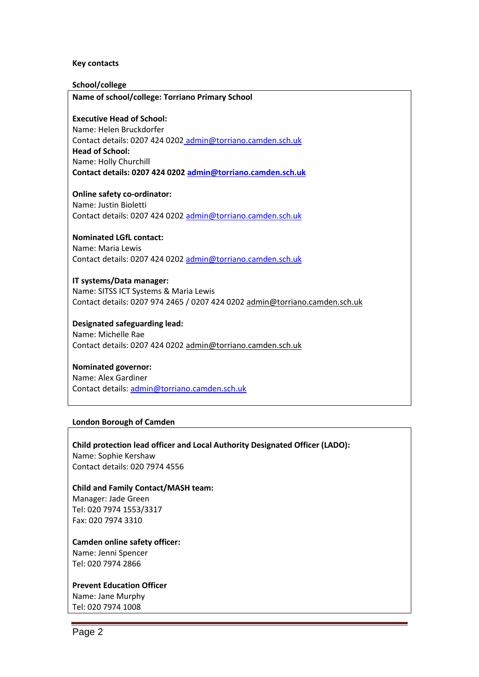#### **Key contacts**

#### **School/college**

**Name of school/college: Torriano Primary School**

#### **Executive Head of School:**

Name: Helen Bruckdorfer Contact details: 0207 424 0202 [admin@torriano.camden.sch.uk](mailto:admin@torriano.camden.sch.uk) **Head of School:** Name: Holly Churchill **Contact details: 0207 424 020[2 admin@torriano.camden.sch.uk](mailto:admin@torriano.camden.sch.uk)**

#### **Online safety co-ordinator:**

Name: Justin Bioletti Contact details: 0207 424 0202 [admin@torriano.camden.sch.uk](mailto:admin@torriano.camden.sch.uk)

#### **Nominated LGfL contact:**

Name: Maria Lewis Contact details: 0207 424 0202 [admin@torriano.camden.sch.uk](mailto:admin@torriano.camden.sch.uk)

#### **IT systems/Data manager:**

Name: SITSS ICT Systems & Maria Lewis Contact details: 0207 974 2465 / 0207 424 020[2 admin@torriano.camden.sch.uk](mailto:admin@torriano.camden.sch.uk)

#### **Designated safeguarding lead:**

Name: Michelle Rae Contact details: 0207 424 0202 [admin@torriano.camden.sch.uk](mailto:admin@torriano.camden.sch.uk)

#### **Nominated governor:**

Name: Alex Gardiner Contact details: [admin@torriano.camden.sch.uk](mailto:admin@torriano.camden.sch.uk)

#### **London Borough of Camden**

#### **Child protection lead officer and Local Authority Designated Officer (LADO):** Name: Sophie Kershaw Contact details: 020 7974 4556

**Child and Family Contact/MASH team:** Manager: Jade Green Tel: 020 7974 1553/3317 Fax: 020 7974 3310

**Camden online safety officer:** Name: Jenni Spencer Tel: 020 7974 2866

#### **Prevent Education Officer**

Name: Jane Murphy Tel: 020 7974 1008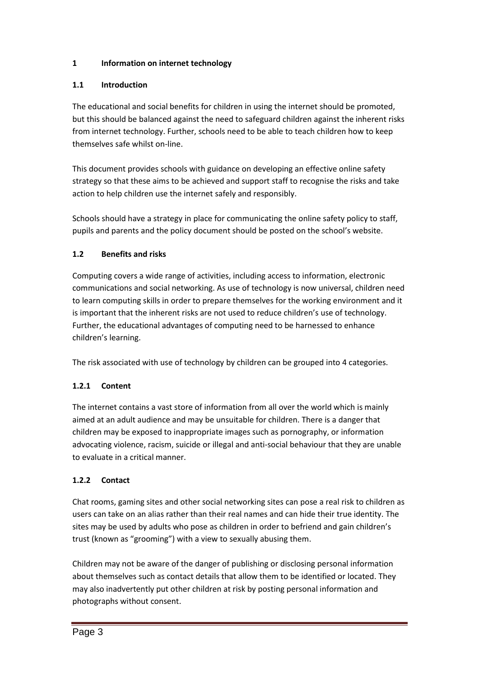# **1 Information on internet technology**

# **1.1 Introduction**

The educational and social benefits for children in using the internet should be promoted, but this should be balanced against the need to safeguard children against the inherent risks from internet technology. Further, schools need to be able to teach children how to keep themselves safe whilst on-line.

This document provides schools with guidance on developing an effective online safety strategy so that these aims to be achieved and support staff to recognise the risks and take action to help children use the internet safely and responsibly.

Schools should have a strategy in place for communicating the online safety policy to staff, pupils and parents and the policy document should be posted on the school's website.

# **1.2 Benefits and risks**

Computing covers a wide range of activities, including access to information, electronic communications and social networking. As use of technology is now universal, children need to learn computing skills in order to prepare themselves for the working environment and it is important that the inherent risks are not used to reduce children's use of technology. Further, the educational advantages of computing need to be harnessed to enhance children's learning.

The risk associated with use of technology by children can be grouped into 4 categories.

# **1.2.1 Content**

The internet contains a vast store of information from all over the world which is mainly aimed at an adult audience and may be unsuitable for children. There is a danger that children may be exposed to inappropriate images such as pornography, or information advocating violence, racism, suicide or illegal and anti-social behaviour that they are unable to evaluate in a critical manner.

# **1.2.2 Contact**

Chat rooms, gaming sites and other social networking sites can pose a real risk to children as users can take on an alias rather than their real names and can hide their true identity. The sites may be used by adults who pose as children in order to befriend and gain children's trust (known as "grooming") with a view to sexually abusing them.

Children may not be aware of the danger of publishing or disclosing personal information about themselves such as contact details that allow them to be identified or located. They may also inadvertently put other children at risk by posting personal information and photographs without consent.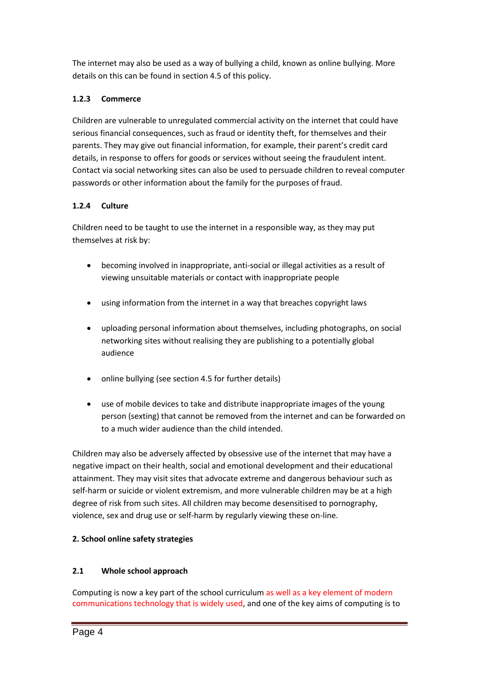The internet may also be used as a way of bullying a child, known as online bullying. More details on this can be found in section 4.5 of this policy.

# **1.2.3 Commerce**

Children are vulnerable to unregulated commercial activity on the internet that could have serious financial consequences, such as fraud or identity theft, for themselves and their parents. They may give out financial information, for example, their parent's credit card details, in response to offers for goods or services without seeing the fraudulent intent. Contact via social networking sites can also be used to persuade children to reveal computer passwords or other information about the family for the purposes of fraud.

# **1.2.4 Culture**

Children need to be taught to use the internet in a responsible way, as they may put themselves at risk by:

- becoming involved in inappropriate, anti-social or illegal activities as a result of viewing unsuitable materials or contact with inappropriate people
- using information from the internet in a way that breaches copyright laws
- uploading personal information about themselves, including photographs, on social networking sites without realising they are publishing to a potentially global audience
- online bullying (see section 4.5 for further details)
- use of mobile devices to take and distribute inappropriate images of the young person (sexting) that cannot be removed from the internet and can be forwarded on to a much wider audience than the child intended.

Children may also be adversely affected by obsessive use of the internet that may have a negative impact on their health, social and emotional development and their educational attainment. They may visit sites that advocate extreme and dangerous behaviour such as self-harm or suicide or violent extremism, and more vulnerable children may be at a high degree of risk from such sites. All children may become desensitised to pornography, violence, sex and drug use or self-harm by regularly viewing these on-line.

# **2. School online safety strategies**

# **2.1 Whole school approach**

Computing is now a key part of the school curriculum as well as a key element of modern communications technology that is widely used, and one of the key aims of computing is to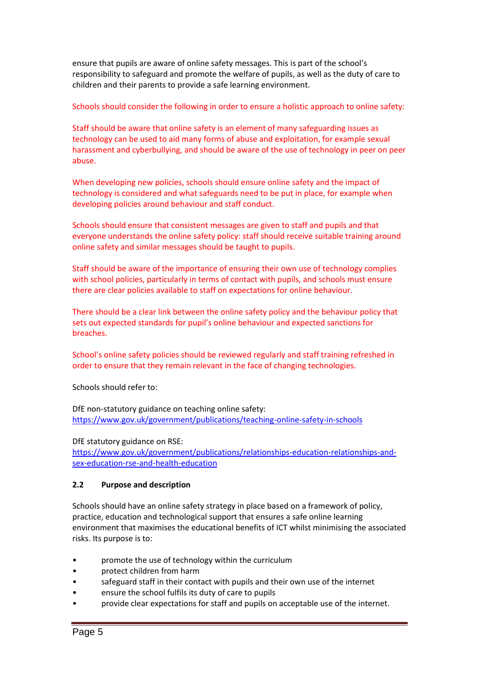ensure that pupils are aware of online safety messages. This is part of the school's responsibility to safeguard and promote the welfare of pupils, as well as the duty of care to children and their parents to provide a safe learning environment.

### Schools should consider the following in order to ensure a holistic approach to online safety:

Staff should be aware that online safety is an element of many safeguarding issues as technology can be used to aid many forms of abuse and exploitation, for example sexual harassment and cyberbullying, and should be aware of the use of technology in peer on peer abuse.

When developing new policies, schools should ensure online safety and the impact of technology is considered and what safeguards need to be put in place, for example when developing policies around behaviour and staff conduct.

Schools should ensure that consistent messages are given to staff and pupils and that everyone understands the online safety policy: staff should receive suitable training around online safety and similar messages should be taught to pupils.

Staff should be aware of the importance of ensuring their own use of technology complies with school policies, particularly in terms of contact with pupils, and schools must ensure there are clear policies available to staff on expectations for online behaviour.

There should be a clear link between the online safety policy and the behaviour policy that sets out expected standards for pupil's online behaviour and expected sanctions for breaches.

School's online safety policies should be reviewed regularly and staff training refreshed in order to ensure that they remain relevant in the face of changing technologies.

Schools should refer to:

DfE non-statutory guidance on teaching online safety: <https://www.gov.uk/government/publications/teaching-online-safety-in-schools>

### DfE statutory guidance on RSE:

[https://www.gov.uk/government/publications/relationships-education-relationships-and](https://www.gov.uk/government/publications/relationships-education-relationships-and-sex-education-rse-and-health-education)[sex-education-rse-and-health-education](https://www.gov.uk/government/publications/relationships-education-relationships-and-sex-education-rse-and-health-education)

### **2.2 Purpose and description**

Schools should have an online safety strategy in place based on a framework of policy, practice, education and technological support that ensures a safe online learning environment that maximises the educational benefits of ICT whilst minimising the associated risks. Its purpose is to:

- promote the use of technology within the curriculum
- protect children from harm
- safeguard staff in their contact with pupils and their own use of the internet
- ensure the school fulfils its duty of care to pupils
- provide clear expectations for staff and pupils on acceptable use of the internet.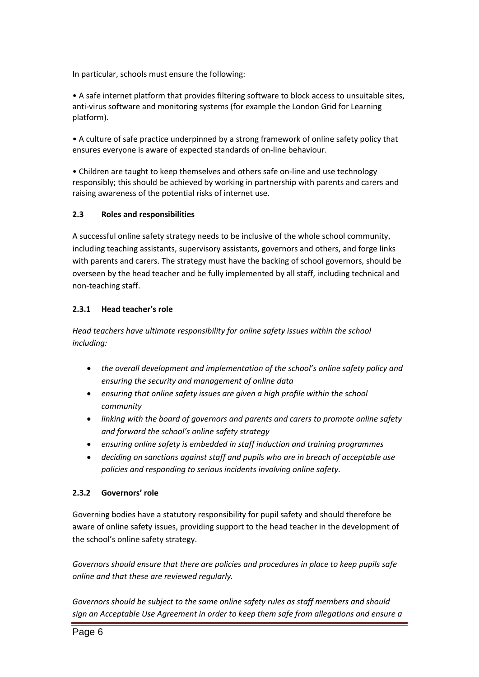In particular, schools must ensure the following:

• A safe internet platform that provides filtering software to block access to unsuitable sites, anti-virus software and monitoring systems (for example the London Grid for Learning platform).

• A culture of safe practice underpinned by a strong framework of online safety policy that ensures everyone is aware of expected standards of on-line behaviour.

• Children are taught to keep themselves and others safe on-line and use technology responsibly; this should be achieved by working in partnership with parents and carers and raising awareness of the potential risks of internet use.

### **2.3 Roles and responsibilities**

A successful online safety strategy needs to be inclusive of the whole school community, including teaching assistants, supervisory assistants, governors and others, and forge links with parents and carers. The strategy must have the backing of school governors, should be overseen by the head teacher and be fully implemented by all staff, including technical and non-teaching staff.

### **2.3.1 Head teacher's role**

*Head teachers have ultimate responsibility for online safety issues within the school including:*

- *the overall development and implementation of the school's online safety policy and ensuring the security and management of online data*
- *ensuring that online safety issues are given a high profile within the school community*
- *linking with the board of governors and parents and carers to promote online safety and forward the school's online safety strategy*
- *ensuring online safety is embedded in staff induction and training programmes*
- *deciding on sanctions against staff and pupils who are in breach of acceptable use policies and responding to serious incidents involving online safety.*

### **2.3.2 Governors' role**

Governing bodies have a statutory responsibility for pupil safety and should therefore be aware of online safety issues, providing support to the head teacher in the development of the school's online safety strategy.

*Governors should ensure that there are policies and procedures in place to keep pupils safe online and that these are reviewed regularly.*

*Governors should be subject to the same online safety rules as staff members and should sign an Acceptable Use Agreement in order to keep them safe from allegations and ensure a*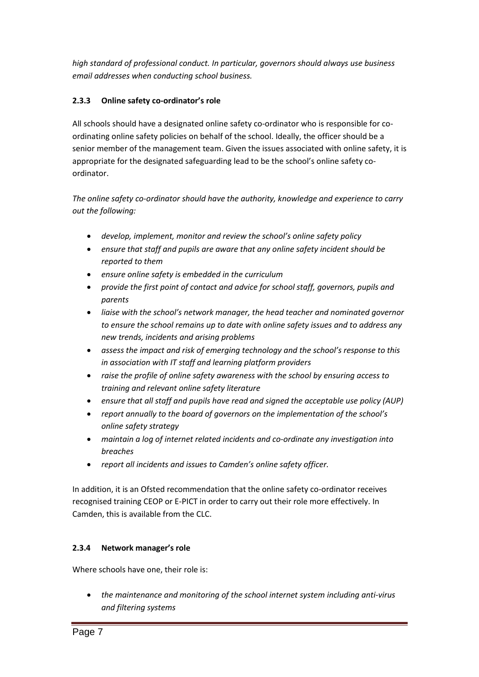*high standard of professional conduct. In particular, governors should always use business email addresses when conducting school business.*

# **2.3.3 Online safety co-ordinator's role**

All schools should have a designated online safety co-ordinator who is responsible for coordinating online safety policies on behalf of the school. Ideally, the officer should be a senior member of the management team. Given the issues associated with online safety, it is appropriate for the designated safeguarding lead to be the school's online safety coordinator.

*The online safety co-ordinator should have the authority, knowledge and experience to carry out the following:*

- *develop, implement, monitor and review the school's online safety policy*
- *ensure that staff and pupils are aware that any online safety incident should be reported to them*
- *ensure online safety is embedded in the curriculum*
- *provide the first point of contact and advice for school staff, governors, pupils and parents*
- *liaise with the school's network manager, the head teacher and nominated governor to ensure the school remains up to date with online safety issues and to address any new trends, incidents and arising problems*
- *assess the impact and risk of emerging technology and the school's response to this in association with IT staff and learning platform providers*
- *raise the profile of online safety awareness with the school by ensuring access to training and relevant online safety literature*
- *ensure that all staff and pupils have read and signed the acceptable use policy (AUP)*
- *report annually to the board of governors on the implementation of the school's online safety strategy*
- *maintain a log of internet related incidents and co-ordinate any investigation into breaches*
- *report all incidents and issues to Camden's online safety officer.*

In addition, it is an Ofsted recommendation that the online safety co-ordinator receives recognised training CEOP or E-PICT in order to carry out their role more effectively. In Camden, this is available from the CLC.

# **2.3.4 Network manager's role**

Where schools have one, their role is:

 *the maintenance and monitoring of the school internet system including anti-virus and filtering systems*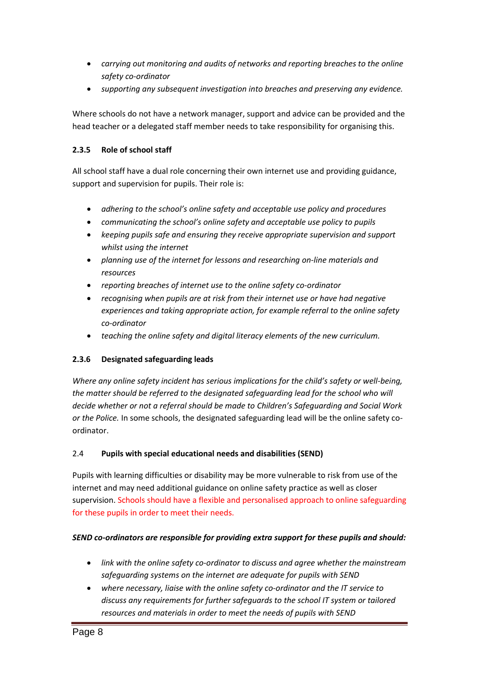- *carrying out monitoring and audits of networks and reporting breaches to the online safety co-ordinator*
- *supporting any subsequent investigation into breaches and preserving any evidence.*

Where schools do not have a network manager, support and advice can be provided and the head teacher or a delegated staff member needs to take responsibility for organising this.

### **2.3.5 Role of school staff**

All school staff have a dual role concerning their own internet use and providing guidance, support and supervision for pupils. Their role is:

- *adhering to the school's online safety and acceptable use policy and procedures*
- *communicating the school's online safety and acceptable use policy to pupils*
- *keeping pupils safe and ensuring they receive appropriate supervision and support whilst using the internet*
- *planning use of the internet for lessons and researching on-line materials and resources*
- *reporting breaches of internet use to the online safety co-ordinator*
- *recognising when pupils are at risk from their internet use or have had negative experiences and taking appropriate action, for example referral to the online safety co-ordinator*
- *teaching the online safety and digital literacy elements of the new curriculum.*

# **2.3.6 Designated safeguarding leads**

*Where any online safety incident has serious implications for the child's safety or well-being, the matter should be referred to the designated safeguarding lead for the school who will decide whether or not a referral should be made to Children's Safeguarding and Social Work or the Police.* In some schools, the designated safeguarding lead will be the online safety coordinator.

### 2.4 **Pupils with special educational needs and disabilities (SEND)**

Pupils with learning difficulties or disability may be more vulnerable to risk from use of the internet and may need additional guidance on online safety practice as well as closer supervision. Schools should have a flexible and personalised approach to online safeguarding for these pupils in order to meet their needs.

### *SEND co-ordinators are responsible for providing extra support for these pupils and should:*

- *link with the online safety co-ordinator to discuss and agree whether the mainstream safeguarding systems on the internet are adequate for pupils with SEND*
- *where necessary, liaise with the online safety co-ordinator and the IT service to discuss any requirements for further safeguards to the school IT system or tailored resources and materials in order to meet the needs of pupils with SEND*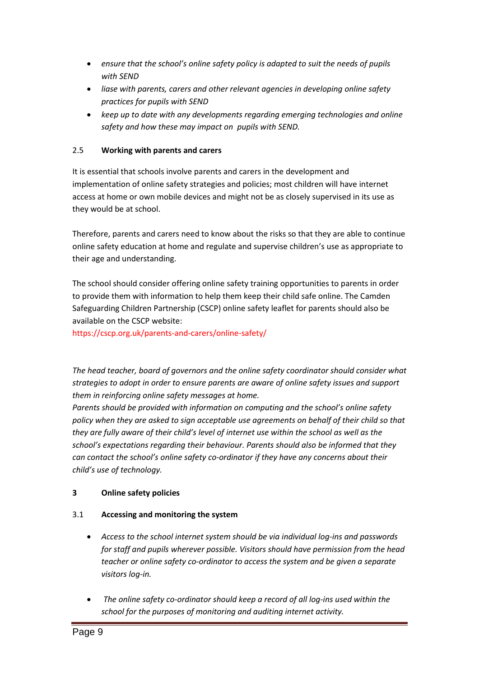- *ensure that the school's online safety policy is adapted to suit the needs of pupils with SEND*
- *liase with parents, carers and other relevant agencies in developing online safety practices for pupils with SEND*
- *keep up to date with any developments regarding emerging technologies and online safety and how these may impact on pupils with SEND.*

### 2.5 **Working with parents and carers**

It is essential that schools involve parents and carers in the development and implementation of online safety strategies and policies; most children will have internet access at home or own mobile devices and might not be as closely supervised in its use as they would be at school.

Therefore, parents and carers need to know about the risks so that they are able to continue online safety education at home and regulate and supervise children's use as appropriate to their age and understanding.

The school should consider offering online safety training opportunities to parents in order to provide them with information to help them keep their child safe online. The Camden Safeguarding Children Partnership (CSCP) online safety leaflet for parents should also be available on the CSCP website:

https://cscp.org.uk/parents-and-carers/online-safety/

*The head teacher, board of governors and the online safety coordinator should consider what strategies to adopt in order to ensure parents are aware of online safety issues and support them in reinforcing online safety messages at home.* 

*Parents should be provided with information on computing and the school's online safety policy when they are asked to sign acceptable use agreements on behalf of their child so that they are fully aware of their child's level of internet use within the school as well as the school's expectations regarding their behaviour. Parents should also be informed that they can contact the school's online safety co-ordinator if they have any concerns about their child's use of technology.*

### **3 Online safety policies**

### 3.1 **Accessing and monitoring the system**

- *Access to the school internet system should be via individual log-ins and passwords for staff and pupils wherever possible. Visitors should have permission from the head teacher or online safety co-ordinator to access the system and be given a separate visitors log-in.*
- *The online safety co-ordinator should keep a record of all log-ins used within the school for the purposes of monitoring and auditing internet activity.*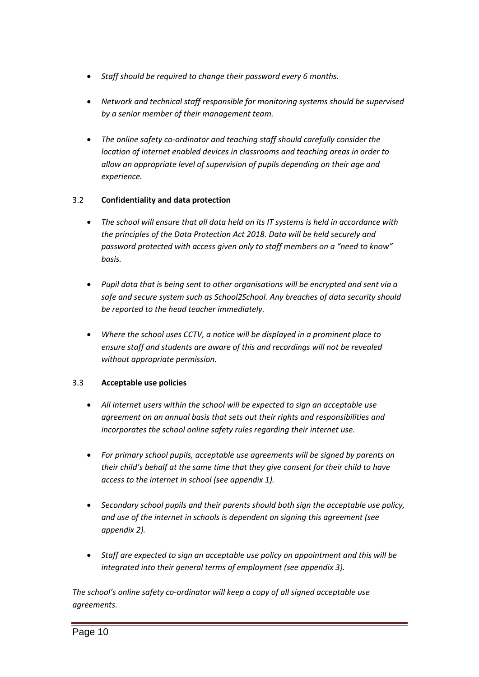- *Staff should be required to change their password every 6 months.*
- *Network and technical staff responsible for monitoring systems should be supervised by a senior member of their management team.*
- *The online safety co-ordinator and teaching staff should carefully consider the location of internet enabled devices in classrooms and teaching areas in order to allow an appropriate level of supervision of pupils depending on their age and experience.*

### 3.2 **Confidentiality and data protection**

- *The school will ensure that all data held on its IT systems is held in accordance with the principles of the Data Protection Act 2018. Data will be held securely and password protected with access given only to staff members on a "need to know" basis.*
- *Pupil data that is being sent to other organisations will be encrypted and sent via a safe and secure system such as School2School. Any breaches of data security should be reported to the head teacher immediately.*
- *Where the school uses CCTV, a notice will be displayed in a prominent place to ensure staff and students are aware of this and recordings will not be revealed without appropriate permission.*

### 3.3 **Acceptable use policies**

- *All internet users within the school will be expected to sign an acceptable use agreement on an annual basis that sets out their rights and responsibilities and incorporates the school online safety rules regarding their internet use.*
- *For primary school pupils, acceptable use agreements will be signed by parents on their child's behalf at the same time that they give consent for their child to have access to the internet in school (see appendix 1).*
- *Secondary school pupils and their parents should both sign the acceptable use policy, and use of the internet in schools is dependent on signing this agreement (see appendix 2).*
- *Staff are expected to sign an acceptable use policy on appointment and this will be integrated into their general terms of employment (see appendix 3).*

*The school's online safety co-ordinator will keep a copy of all signed acceptable use agreements.*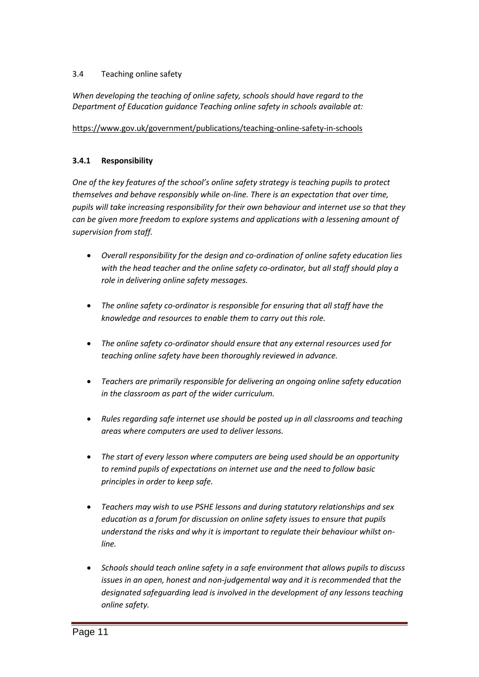### 3.4 Teaching online safety

*When developing the teaching of online safety, schools should have regard to the Department of Education guidance Teaching online safety in schools available at:*

### <https://www.gov.uk/government/publications/teaching-online-safety-in-schools>

### **3.4.1 Responsibility**

*One of the key features of the school's online safety strategy is teaching pupils to protect themselves and behave responsibly while on-line. There is an expectation that over time, pupils will take increasing responsibility for their own behaviour and internet use so that they can be given more freedom to explore systems and applications with a lessening amount of supervision from staff.*

- *Overall responsibility for the design and co-ordination of online safety education lies*  with the head teacher and the online safety co-ordinator, but all staff should play a *role in delivering online safety messages.*
- *The online safety co-ordinator is responsible for ensuring that all staff have the knowledge and resources to enable them to carry out this role.*
- *The online safety co-ordinator should ensure that any external resources used for teaching online safety have been thoroughly reviewed in advance.*
- *Teachers are primarily responsible for delivering an ongoing online safety education in the classroom as part of the wider curriculum.*
- *Rules regarding safe internet use should be posted up in all classrooms and teaching areas where computers are used to deliver lessons.*
- *The start of every lesson where computers are being used should be an opportunity to remind pupils of expectations on internet use and the need to follow basic principles in order to keep safe.*
- *Teachers may wish to use PSHE lessons and during statutory relationships and sex education as a forum for discussion on online safety issues to ensure that pupils understand the risks and why it is important to regulate their behaviour whilst online.*
- *Schools should teach online safety in a safe environment that allows pupils to discuss issues in an open, honest and non-judgemental way and it is recommended that the designated safeguarding lead is involved in the development of any lessons teaching online safety.*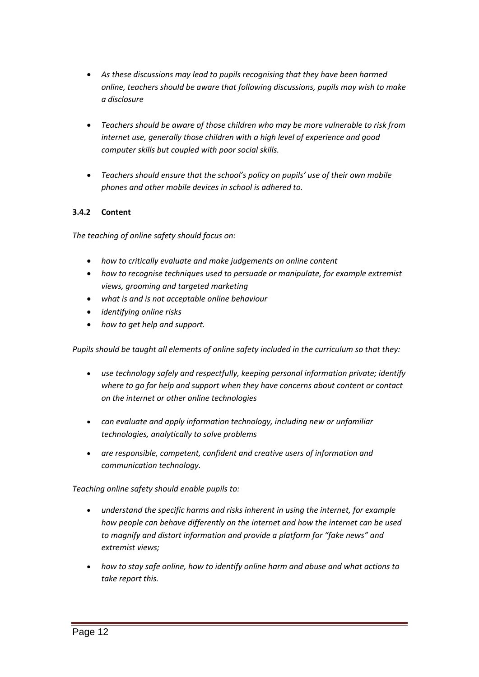- *As these discussions may lead to pupils recognising that they have been harmed online, teachers should be aware that following discussions, pupils may wish to make a disclosure*
- *Teachers should be aware of those children who may be more vulnerable to risk from internet use, generally those children with a high level of experience and good computer skills but coupled with poor social skills.*
- *Teachers should ensure that the school's policy on pupils' use of their own mobile phones and other mobile devices in school is adhered to.*

### **3.4.2 Content**

*The teaching of online safety should focus on:*

- *how to critically evaluate and make judgements on online content*
- *how to recognise techniques used to persuade or manipulate, for example extremist views, grooming and targeted marketing*
- *what is and is not acceptable online behaviour*
- *identifying online risks*
- *how to get help and support.*

*Pupils should be taught all elements of online safety included in the curriculum so that they:*

- *use technology safely and respectfully, keeping personal information private; identify where to go for help and support when they have concerns about content or contact on the internet or other online technologies*
- *can evaluate and apply information technology, including new or unfamiliar technologies, analytically to solve problems*
- *are responsible, competent, confident and creative users of information and communication technology.*

*Teaching online safety should enable pupils to:*

- *understand the specific harms and risks inherent in using the internet, for example how people can behave differently on the internet and how the internet can be used to magnify and distort information and provide a platform for "fake news" and extremist views;*
- *how to stay safe online, how to identify online harm and abuse and what actions to take report this.*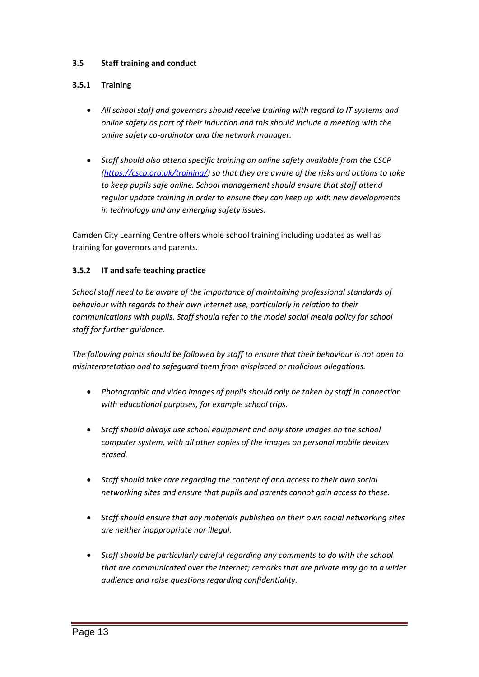### **3.5 Staff training and conduct**

### **3.5.1 Training**

- *All school staff and governors should receive training with regard to IT systems and online safety as part of their induction and this should include a meeting with the online safety co-ordinator and the network manager.*
- *Staff should also attend specific training on online safety available from the CSCP [\(https://cscp.org.uk/training/\)](https://cscp.org.uk/training/) so that they are aware of the risks and actions to take to keep pupils safe online. School management should ensure that staff attend regular update training in order to ensure they can keep up with new developments in technology and any emerging safety issues.*

Camden City Learning Centre offers whole school training including updates as well as training for governors and parents.

### **3.5.2 IT and safe teaching practice**

*School staff need to be aware of the importance of maintaining professional standards of behaviour with regards to their own internet use, particularly in relation to their communications with pupils. Staff should refer to the model social media policy for school staff for further guidance.*

*The following points should be followed by staff to ensure that their behaviour is not open to misinterpretation and to safeguard them from misplaced or malicious allegations.*

- *Photographic and video images of pupils should only be taken by staff in connection with educational purposes, for example school trips.*
- *Staff should always use school equipment and only store images on the school computer system, with all other copies of the images on personal mobile devices erased.*
- *Staff should take care regarding the content of and access to their own social networking sites and ensure that pupils and parents cannot gain access to these.*
- *Staff should ensure that any materials published on their own social networking sites are neither inappropriate nor illegal.*
- *Staff should be particularly careful regarding any comments to do with the school that are communicated over the internet; remarks that are private may go to a wider audience and raise questions regarding confidentiality.*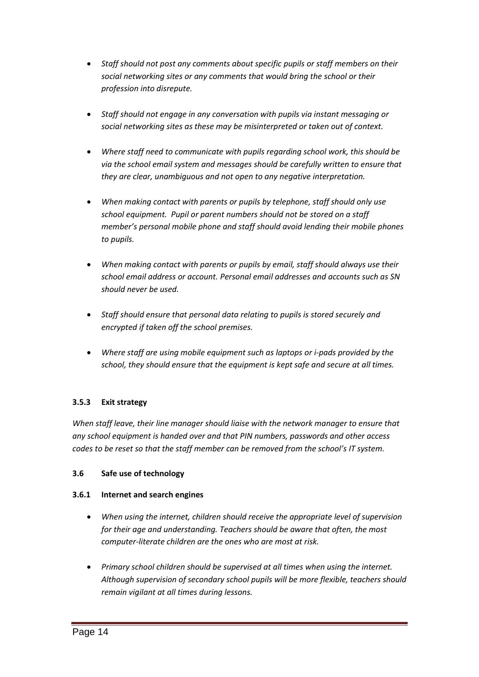- *Staff should not post any comments about specific pupils or staff members on their social networking sites or any comments that would bring the school or their profession into disrepute.*
- *Staff should not engage in any conversation with pupils via instant messaging or social networking sites as these may be misinterpreted or taken out of context.*
- *Where staff need to communicate with pupils regarding school work, this should be via the school email system and messages should be carefully written to ensure that they are clear, unambiguous and not open to any negative interpretation.*
- *When making contact with parents or pupils by telephone, staff should only use school equipment. Pupil or parent numbers should not be stored on a staff member's personal mobile phone and staff should avoid lending their mobile phones to pupils.*
- *When making contact with parents or pupils by email, staff should always use their school email address or account. Personal email addresses and accounts such as SN should never be used.*
- *Staff should ensure that personal data relating to pupils is stored securely and encrypted if taken off the school premises.*
- *Where staff are using mobile equipment such as laptops or i-pads provided by the school, they should ensure that the equipment is kept safe and secure at all times.*

# **3.5.3 Exit strategy**

*When staff leave, their line manager should liaise with the network manager to ensure that any school equipment is handed over and that PIN numbers, passwords and other access codes to be reset so that the staff member can be removed from the school's IT system.*

### **3.6 Safe use of technology**

### **3.6.1 Internet and search engines**

- *When using the internet, children should receive the appropriate level of supervision for their age and understanding. Teachers should be aware that often, the most computer-literate children are the ones who are most at risk.*
- *Primary school children should be supervised at all times when using the internet. Although supervision of secondary school pupils will be more flexible, teachers should remain vigilant at all times during lessons.*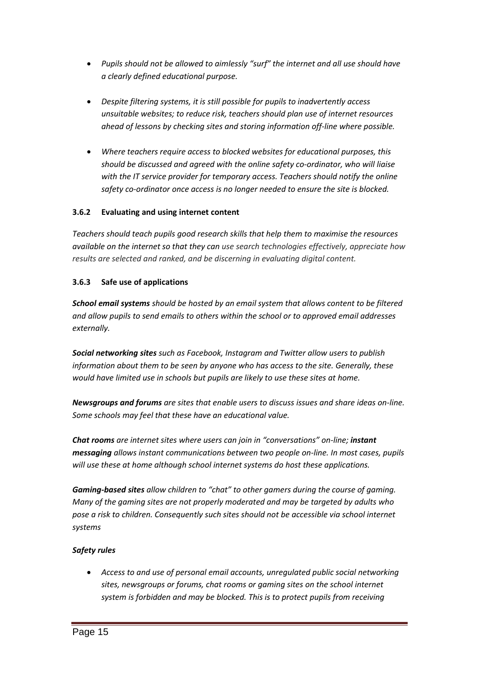- *Pupils should not be allowed to aimlessly "surf" the internet and all use should have a clearly defined educational purpose.*
- *Despite filtering systems, it is still possible for pupils to inadvertently access unsuitable websites; to reduce risk, teachers should plan use of internet resources ahead of lessons by checking sites and storing information off-line where possible.*
- *Where teachers require access to blocked websites for educational purposes, this should be discussed and agreed with the online safety co-ordinator, who will liaise with the IT service provider for temporary access. Teachers should notify the online safety co-ordinator once access is no longer needed to ensure the site is blocked.*

# **3.6.2 Evaluating and using internet content**

*Teachers should teach pupils good research skills that help them to maximise the resources available on the internet so that they can use search technologies effectively, appreciate how results are selected and ranked, and be discerning in evaluating digital content.*

### **3.6.3 Safe use of applications**

*School email systems should be hosted by an email system that allows content to be filtered and allow pupils to send emails to others within the school or to approved email addresses externally.* 

*Social networking sites such as Facebook, Instagram and Twitter allow users to publish information about them to be seen by anyone who has access to the site. Generally, these would have limited use in schools but pupils are likely to use these sites at home.*

*Newsgroups and forums are sites that enable users to discuss issues and share ideas on-line. Some schools may feel that these have an educational value.*

*Chat rooms are internet sites where users can join in "conversations" on-line; instant messaging allows instant communications between two people on-line. In most cases, pupils will use these at home although school internet systems do host these applications.*

*Gaming-based sites allow children to "chat" to other gamers during the course of gaming. Many of the gaming sites are not properly moderated and may be targeted by adults who pose a risk to children. Consequently such sites should not be accessible via school internet systems*

### *Safety rules*

 *Access to and use of personal email accounts, unregulated public social networking sites, newsgroups or forums, chat rooms or gaming sites on the school internet system is forbidden and may be blocked. This is to protect pupils from receiving*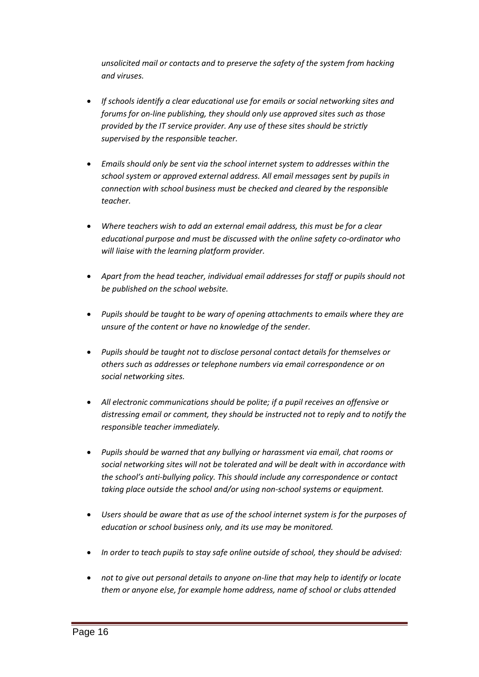*unsolicited mail or contacts and to preserve the safety of the system from hacking and viruses.*

- *If schools identify a clear educational use for emails or social networking sites and forums for on-line publishing, they should only use approved sites such as those provided by the IT service provider. Any use of these sites should be strictly supervised by the responsible teacher.*
- *Emails should only be sent via the school internet system to addresses within the school system or approved external address. All email messages sent by pupils in connection with school business must be checked and cleared by the responsible teacher.*
- *Where teachers wish to add an external email address, this must be for a clear educational purpose and must be discussed with the online safety co-ordinator who will liaise with the learning platform provider.*
- *Apart from the head teacher, individual email addresses for staff or pupils should not be published on the school website.*
- *Pupils should be taught to be wary of opening attachments to emails where they are unsure of the content or have no knowledge of the sender.*
- *Pupils should be taught not to disclose personal contact details for themselves or others such as addresses or telephone numbers via email correspondence or on social networking sites.*
- *All electronic communications should be polite; if a pupil receives an offensive or distressing email or comment, they should be instructed not to reply and to notify the responsible teacher immediately.*
- *Pupils should be warned that any bullying or harassment via email, chat rooms or social networking sites will not be tolerated and will be dealt with in accordance with the school's anti-bullying policy. This should include any correspondence or contact taking place outside the school and/or using non-school systems or equipment.*
- *Users should be aware that as use of the school internet system is for the purposes of education or school business only, and its use may be monitored.*
- *In order to teach pupils to stay safe online outside of school, they should be advised:*
- *not to give out personal details to anyone on-line that may help to identify or locate them or anyone else, for example home address, name of school or clubs attended*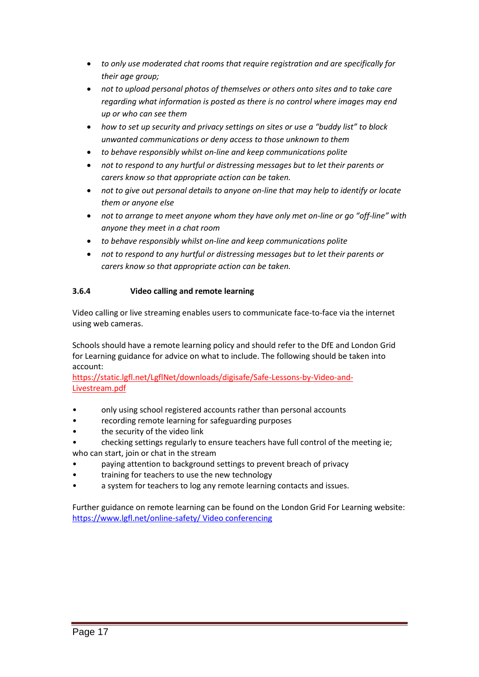- *to only use moderated chat rooms that require registration and are specifically for their age group;*
- *not to upload personal photos of themselves or others onto sites and to take care regarding what information is posted as there is no control where images may end up or who can see them*
- *how to set up security and privacy settings on sites or use a "buddy list" to block unwanted communications or deny access to those unknown to them*
- *to behave responsibly whilst on-line and keep communications polite*
- *not to respond to any hurtful or distressing messages but to let their parents or carers know so that appropriate action can be taken.*
- *not to give out personal details to anyone on-line that may help to identify or locate them or anyone else*
- *not to arrange to meet anyone whom they have only met on-line or go "off-line" with anyone they meet in a chat room*
- *to behave responsibly whilst on-line and keep communications polite*
- *not to respond to any hurtful or distressing messages but to let their parents or carers know so that appropriate action can be taken.*

# **3.6.4 Video calling and remote learning**

Video calling or live streaming enables users to communicate face-to-face via the internet using web cameras.

Schools should have a remote learning policy and should refer to the DfE and London Grid for Learning guidance for advice on what to include. The following should be taken into account:

[https://static.lgfl.net/LgflNet/downloads/digisafe/Safe-Lessons-by-Video-and-](https://static.lgfl.net/LgflNet/downloads/digisafe/Safe-Lessons-by-Video-and-Livestream.pdf)[Livestream.pdf](https://static.lgfl.net/LgflNet/downloads/digisafe/Safe-Lessons-by-Video-and-Livestream.pdf)

- only using school registered accounts rather than personal accounts
- recording remote learning for safeguarding purposes
- the security of the video link
- checking settings regularly to ensure teachers have full control of the meeting ie; who can start, join or chat in the stream
- paying attention to background settings to prevent breach of privacy
- training for teachers to use the new technology
- a system for teachers to log any remote learning contacts and issues.

Further guidance on remote learning can be found on the London Grid For Learning website: [https://www.lgfl.net/online-safety/ Video conferencing](https://www.lgfl.net/online-safety/%20Video%20conferencing)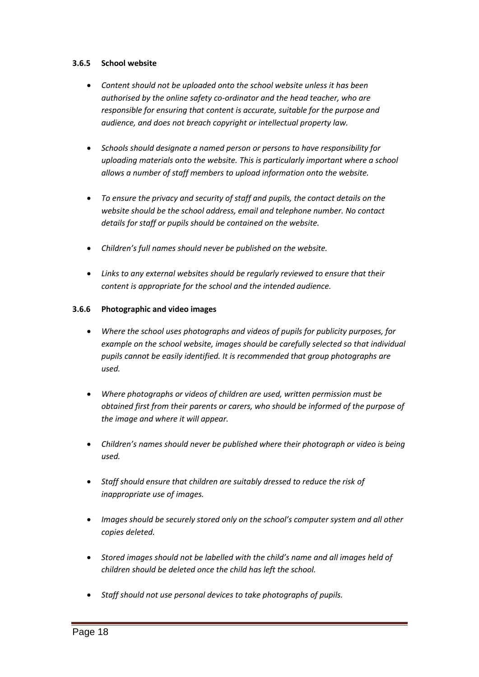### **3.6.5 School website**

- *Content should not be uploaded onto the school website unless it has been authorised by the online safety co-ordinator and the head teacher, who are responsible for ensuring that content is accurate, suitable for the purpose and audience, and does not breach copyright or intellectual property law.*
- *Schools should designate a named person or persons to have responsibility for uploading materials onto the website. This is particularly important where a school allows a number of staff members to upload information onto the website.*
- *To ensure the privacy and security of staff and pupils, the contact details on the website should be the school address, email and telephone number. No contact details for staff or pupils should be contained on the website.*
- *Children's full names should never be published on the website.*
- *Links to any external websites should be regularly reviewed to ensure that their content is appropriate for the school and the intended audience.*

### **3.6.6 Photographic and video images**

- *Where the school uses photographs and videos of pupils for publicity purposes, for example on the school website, images should be carefully selected so that individual pupils cannot be easily identified. It is recommended that group photographs are used.*
- *Where photographs or videos of children are used, written permission must be obtained first from their parents or carers, who should be informed of the purpose of the image and where it will appear.*
- *Children's names should never be published where their photograph or video is being used.*
- *Staff should ensure that children are suitably dressed to reduce the risk of inappropriate use of images.*
- *Images should be securely stored only on the school's computer system and all other copies deleted.*
- *Stored images should not be labelled with the child's name and all images held of children should be deleted once the child has left the school.*
- *Staff should not use personal devices to take photographs of pupils.*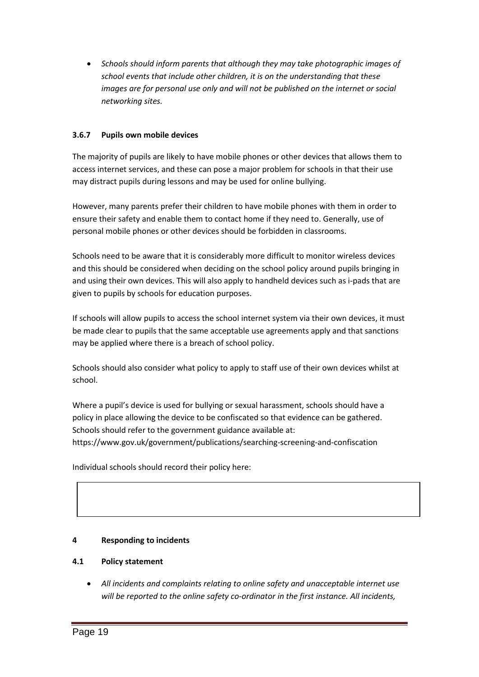*Schools should inform parents that although they may take photographic images of school events that include other children, it is on the understanding that these images are for personal use only and will not be published on the internet or social networking sites.*

# **3.6.7 Pupils own mobile devices**

The majority of pupils are likely to have mobile phones or other devices that allows them to access internet services, and these can pose a major problem for schools in that their use may distract pupils during lessons and may be used for online bullying.

However, many parents prefer their children to have mobile phones with them in order to ensure their safety and enable them to contact home if they need to. Generally, use of personal mobile phones or other devices should be forbidden in classrooms.

Schools need to be aware that it is considerably more difficult to monitor wireless devices and this should be considered when deciding on the school policy around pupils bringing in and using their own devices. This will also apply to handheld devices such as i-pads that are given to pupils by schools for education purposes.

If schools will allow pupils to access the school internet system via their own devices, it must be made clear to pupils that the same acceptable use agreements apply and that sanctions may be applied where there is a breach of school policy.

Schools should also consider what policy to apply to staff use of their own devices whilst at school.

Where a pupil's device is used for bullying or sexual harassment, schools should have a policy in place allowing the device to be confiscated so that evidence can be gathered. Schools should refer to the government guidance available at: https://www.gov.uk/government/publications/searching-screening-and-confiscation

Individual schools should record their policy here:

### **4 Responding to incidents**

### **4.1 Policy statement**

 *All incidents and complaints relating to online safety and unacceptable internet use will be reported to the online safety co-ordinator in the first instance. All incidents,*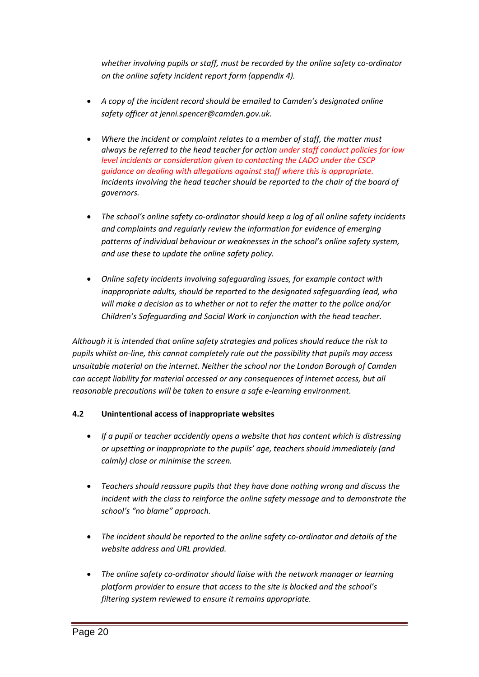*whether involving pupils or staff, must be recorded by the online safety co-ordinator on the online safety incident report form (appendix 4).*

- *A copy of the incident record should be emailed to Camden's designated online safety officer at jenni.spencer@camden.gov.uk.*
- *Where the incident or complaint relates to a member of staff, the matter must always be referred to the head teacher for action under staff conduct policies for low level incidents or consideration given to contacting the LADO under the CSCP guidance on dealing with allegations against staff where this is appropriate. Incidents involving the head teacher should be reported to the chair of the board of governors.*
- *The school's online safety co-ordinator should keep a log of all online safety incidents and complaints and regularly review the information for evidence of emerging patterns of individual behaviour or weaknesses in the school's online safety system, and use these to update the online safety policy.*
- *Online safety incidents involving safeguarding issues, for example contact with inappropriate adults, should be reported to the designated safeguarding lead, who will make a decision as to whether or not to refer the matter to the police and/or Children's Safeguarding and Social Work in conjunction with the head teacher.*

*Although it is intended that online safety strategies and polices should reduce the risk to pupils whilst on-line, this cannot completely rule out the possibility that pupils may access unsuitable material on the internet. Neither the school nor the London Borough of Camden can accept liability for material accessed or any consequences of internet access, but all reasonable precautions will be taken to ensure a safe e-learning environment.*

# **4.2 Unintentional access of inappropriate websites**

- *If a pupil or teacher accidently opens a website that has content which is distressing or upsetting or inappropriate to the pupils' age, teachers should immediately (and calmly) close or minimise the screen.*
- *Teachers should reassure pupils that they have done nothing wrong and discuss the incident with the class to reinforce the online safety message and to demonstrate the school's "no blame" approach.*
- *The incident should be reported to the online safety co-ordinator and details of the website address and URL provided.*
- *The online safety co-ordinator should liaise with the network manager or learning platform provider to ensure that access to the site is blocked and the school's filtering system reviewed to ensure it remains appropriate.*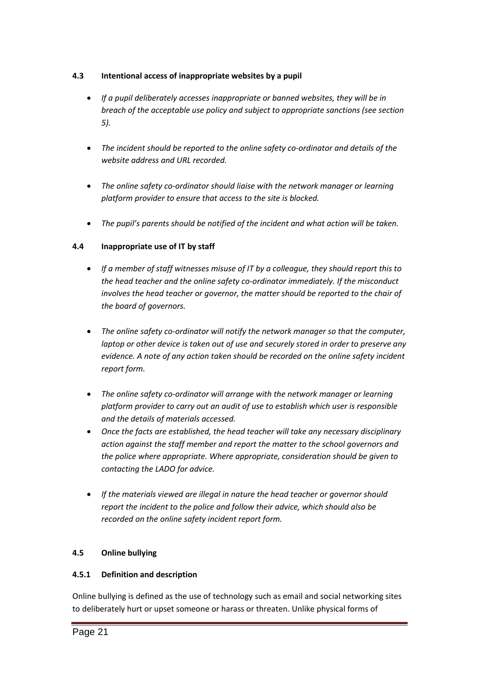# **4.3 Intentional access of inappropriate websites by a pupil**

- *If a pupil deliberately accesses inappropriate or banned websites, they will be in breach of the acceptable use policy and subject to appropriate sanctions (see section 5).*
- *The incident should be reported to the online safety co-ordinator and details of the website address and URL recorded.*
- *The online safety co-ordinator should liaise with the network manager or learning platform provider to ensure that access to the site is blocked.*
- *The pupil's parents should be notified of the incident and what action will be taken.*

# **4.4 Inappropriate use of IT by staff**

- *If a member of staff witnesses misuse of IT by a colleague, they should report this to the head teacher and the online safety co-ordinator immediately. If the misconduct involves the head teacher or governor, the matter should be reported to the chair of the board of governors.*
- *The online safety co-ordinator will notify the network manager so that the computer, laptop or other device is taken out of use and securely stored in order to preserve any evidence. A note of any action taken should be recorded on the online safety incident report form.*
- *The online safety co-ordinator will arrange with the network manager or learning platform provider to carry out an audit of use to establish which user is responsible and the details of materials accessed.*
- *Once the facts are established, the head teacher will take any necessary disciplinary action against the staff member and report the matter to the school governors and the police where appropriate. Where appropriate, consideration should be given to contacting the LADO for advice.*
- *If the materials viewed are illegal in nature the head teacher or governor should report the incident to the police and follow their advice, which should also be recorded on the online safety incident report form.*

### **4.5 Online bullying**

### **4.5.1 Definition and description**

Online bullying is defined as the use of technology such as email and social networking sites to deliberately hurt or upset someone or harass or threaten. Unlike physical forms of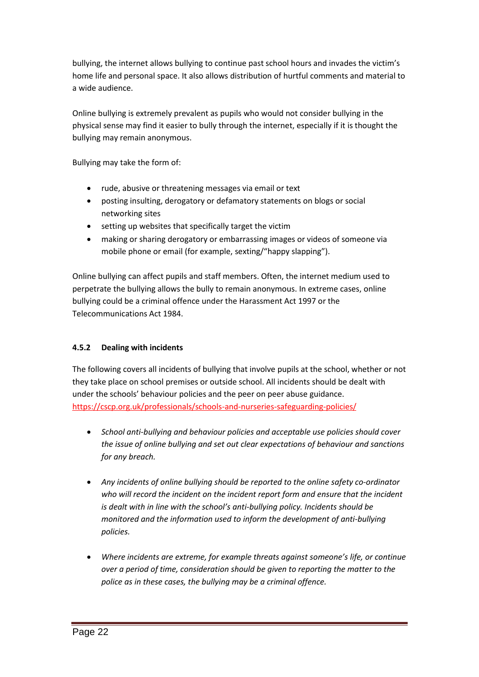bullying, the internet allows bullying to continue past school hours and invades the victim's home life and personal space. It also allows distribution of hurtful comments and material to a wide audience.

Online bullying is extremely prevalent as pupils who would not consider bullying in the physical sense may find it easier to bully through the internet, especially if it is thought the bullying may remain anonymous.

Bullying may take the form of:

- rude, abusive or threatening messages via email or text
- posting insulting, derogatory or defamatory statements on blogs or social networking sites
- setting up websites that specifically target the victim
- making or sharing derogatory or embarrassing images or videos of someone via mobile phone or email (for example, sexting/"happy slapping").

Online bullying can affect pupils and staff members. Often, the internet medium used to perpetrate the bullying allows the bully to remain anonymous. In extreme cases, online bullying could be a criminal offence under the Harassment Act 1997 or the Telecommunications Act 1984.

### **4.5.2 Dealing with incidents**

The following covers all incidents of bullying that involve pupils at the school, whether or not they take place on school premises or outside school. All incidents should be dealt with under the schools' behaviour policies and the peer on peer abuse guidance. <https://cscp.org.uk/professionals/schools-and-nurseries-safeguarding-policies/>

- *School anti-bullying and behaviour policies and acceptable use policies should cover the issue of online bullying and set out clear expectations of behaviour and sanctions for any breach.*
- *Any incidents of online bullying should be reported to the online safety co-ordinator who will record the incident on the incident report form and ensure that the incident is dealt with in line with the school's anti-bullying policy. Incidents should be monitored and the information used to inform the development of anti-bullying policies.*
- *Where incidents are extreme, for example threats against someone's life, or continue over a period of time, consideration should be given to reporting the matter to the police as in these cases, the bullying may be a criminal offence.*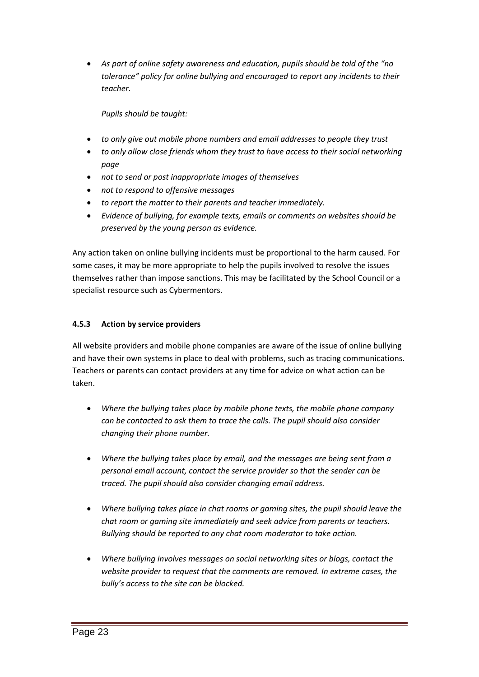*As part of online safety awareness and education, pupils should be told of the "no tolerance" policy for online bullying and encouraged to report any incidents to their teacher.*

### *Pupils should be taught:*

- *to only give out mobile phone numbers and email addresses to people they trust*
- *to only allow close friends whom they trust to have access to their social networking page*
- *not to send or post inappropriate images of themselves*
- *not to respond to offensive messages*
- *to report the matter to their parents and teacher immediately.*
- *Evidence of bullying, for example texts, emails or comments on websites should be preserved by the young person as evidence.*

Any action taken on online bullying incidents must be proportional to the harm caused. For some cases, it may be more appropriate to help the pupils involved to resolve the issues themselves rather than impose sanctions. This may be facilitated by the School Council or a specialist resource such as Cybermentors.

### **4.5.3 Action by service providers**

All website providers and mobile phone companies are aware of the issue of online bullying and have their own systems in place to deal with problems, such as tracing communications. Teachers or parents can contact providers at any time for advice on what action can be taken.

- *Where the bullying takes place by mobile phone texts, the mobile phone company can be contacted to ask them to trace the calls. The pupil should also consider changing their phone number.*
- *Where the bullying takes place by email, and the messages are being sent from a personal email account, contact the service provider so that the sender can be traced. The pupil should also consider changing email address.*
- *Where bullying takes place in chat rooms or gaming sites, the pupil should leave the chat room or gaming site immediately and seek advice from parents or teachers. Bullying should be reported to any chat room moderator to take action.*
- *Where bullying involves messages on social networking sites or blogs, contact the website provider to request that the comments are removed. In extreme cases, the bully's access to the site can be blocked.*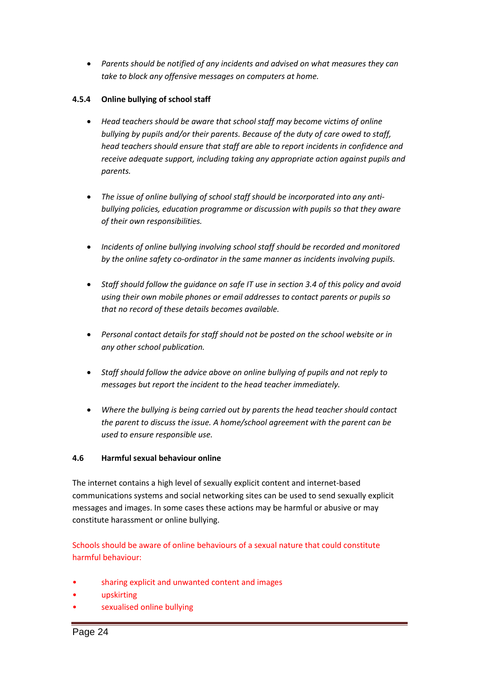*Parents should be notified of any incidents and advised on what measures they can take to block any offensive messages on computers at home.*

### **4.5.4 Online bullying of school staff**

- *Head teachers should be aware that school staff may become victims of online bullying by pupils and/or their parents. Because of the duty of care owed to staff, head teachers should ensure that staff are able to report incidents in confidence and receive adequate support, including taking any appropriate action against pupils and parents.*
- *The issue of online bullying of school staff should be incorporated into any antibullying policies, education programme or discussion with pupils so that they aware of their own responsibilities.*
- *Incidents of online bullying involving school staff should be recorded and monitored by the online safety co-ordinator in the same manner as incidents involving pupils.*
- *Staff should follow the guidance on safe IT use in section 3.4 of this policy and avoid using their own mobile phones or email addresses to contact parents or pupils so that no record of these details becomes available.*
- *Personal contact details for staff should not be posted on the school website or in any other school publication.*
- *Staff should follow the advice above on online bullying of pupils and not reply to messages but report the incident to the head teacher immediately.*
- *Where the bullying is being carried out by parents the head teacher should contact the parent to discuss the issue. A home/school agreement with the parent can be used to ensure responsible use.*

### **4.6 Harmful sexual behaviour online**

The internet contains a high level of sexually explicit content and internet-based communications systems and social networking sites can be used to send sexually explicit messages and images. In some cases these actions may be harmful or abusive or may constitute harassment or online bullying.

Schools should be aware of online behaviours of a sexual nature that could constitute harmful behaviour:

- sharing explicit and unwanted content and images
- upskirting
- sexualised online bullying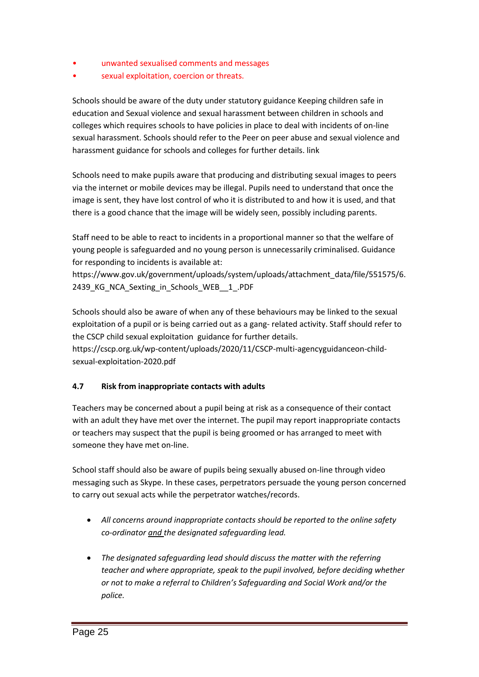- unwanted sexualised comments and messages
- sexual exploitation, coercion or threats.

Schools should be aware of the duty under statutory guidance Keeping children safe in education and Sexual violence and sexual harassment between children in schools and colleges which requires schools to have policies in place to deal with incidents of on-line sexual harassment. Schools should refer to the Peer on peer abuse and sexual violence and harassment guidance for schools and colleges for further details. link

Schools need to make pupils aware that producing and distributing sexual images to peers via the internet or mobile devices may be illegal. Pupils need to understand that once the image is sent, they have lost control of who it is distributed to and how it is used, and that there is a good chance that the image will be widely seen, possibly including parents.

Staff need to be able to react to incidents in a proportional manner so that the welfare of young people is safeguarded and no young person is unnecessarily criminalised. Guidance for responding to incidents is available at:

https://www.gov.uk/government/uploads/system/uploads/attachment\_data/file/551575/6. 2439\_KG\_NCA\_Sexting\_in\_Schools\_WEB\_\_1\_.PDF

Schools should also be aware of when any of these behaviours may be linked to the sexual exploitation of a pupil or is being carried out as a gang- related activity. Staff should refer to the CSCP child sexual exploitation guidance for further details.

https://cscp.org.uk/wp-content/uploads/2020/11/CSCP-multi-agencyguidanceon-childsexual-exploitation-2020.pdf

### **4.7 Risk from inappropriate contacts with adults**

Teachers may be concerned about a pupil being at risk as a consequence of their contact with an adult they have met over the internet. The pupil may report inappropriate contacts or teachers may suspect that the pupil is being groomed or has arranged to meet with someone they have met on-line.

School staff should also be aware of pupils being sexually abused on-line through video messaging such as Skype. In these cases, perpetrators persuade the young person concerned to carry out sexual acts while the perpetrator watches/records.

- *All concerns around inappropriate contacts should be reported to the online safety co-ordinator and the designated safeguarding lead.*
- *The designated safeguarding lead should discuss the matter with the referring teacher and where appropriate, speak to the pupil involved, before deciding whether or not to make a referral to Children's Safeguarding and Social Work and/or the police.*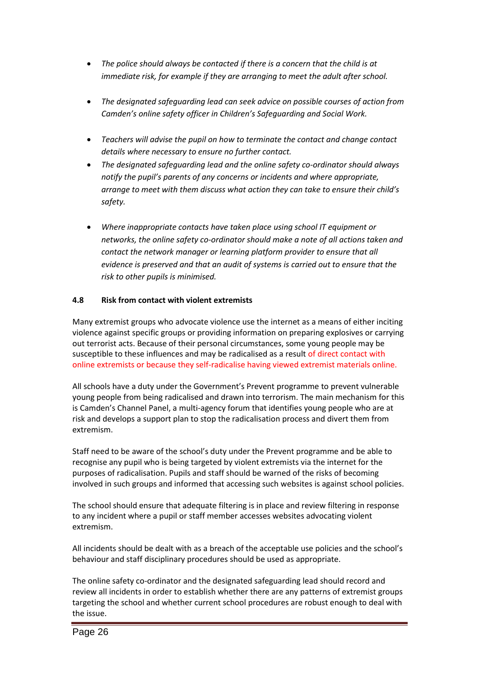- *The police should always be contacted if there is a concern that the child is at immediate risk, for example if they are arranging to meet the adult after school.*
- *The designated safeguarding lead can seek advice on possible courses of action from Camden's online safety officer in Children's Safeguarding and Social Work.*
- *Teachers will advise the pupil on how to terminate the contact and change contact details where necessary to ensure no further contact.*
- *The designated safeguarding lead and the online safety co-ordinator should always notify the pupil's parents of any concerns or incidents and where appropriate, arrange to meet with them discuss what action they can take to ensure their child's safety.*
- *Where inappropriate contacts have taken place using school IT equipment or networks, the online safety co-ordinator should make a note of all actions taken and contact the network manager or learning platform provider to ensure that all evidence is preserved and that an audit of systems is carried out to ensure that the risk to other pupils is minimised.*

### **4.8 Risk from contact with violent extremists**

Many extremist groups who advocate violence use the internet as a means of either inciting violence against specific groups or providing information on preparing explosives or carrying out terrorist acts. Because of their personal circumstances, some young people may be susceptible to these influences and may be radicalised as a result of direct contact with online extremists or because they self-radicalise having viewed extremist materials online.

All schools have a duty under the Government's Prevent programme to prevent vulnerable young people from being radicalised and drawn into terrorism. The main mechanism for this is Camden's Channel Panel, a multi-agency forum that identifies young people who are at risk and develops a support plan to stop the radicalisation process and divert them from extremism.

Staff need to be aware of the school's duty under the Prevent programme and be able to recognise any pupil who is being targeted by violent extremists via the internet for the purposes of radicalisation. Pupils and staff should be warned of the risks of becoming involved in such groups and informed that accessing such websites is against school policies.

The school should ensure that adequate filtering is in place and review filtering in response to any incident where a pupil or staff member accesses websites advocating violent extremism.

All incidents should be dealt with as a breach of the acceptable use policies and the school's behaviour and staff disciplinary procedures should be used as appropriate.

The online safety co-ordinator and the designated safeguarding lead should record and review all incidents in order to establish whether there are any patterns of extremist groups targeting the school and whether current school procedures are robust enough to deal with the issue.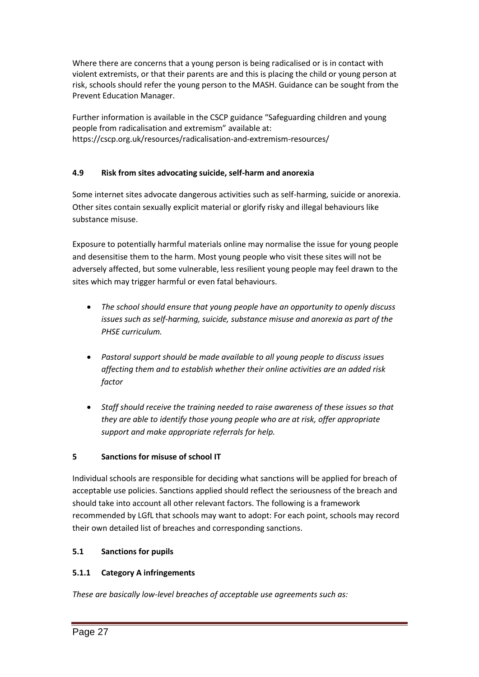Where there are concerns that a young person is being radicalised or is in contact with violent extremists, or that their parents are and this is placing the child or young person at risk, schools should refer the young person to the MASH. Guidance can be sought from the Prevent Education Manager.

Further information is available in the CSCP guidance "Safeguarding children and young people from radicalisation and extremism" available at: https://cscp.org.uk/resources/radicalisation-and-extremism-resources/

# **4.9 Risk from sites advocating suicide, self-harm and anorexia**

Some internet sites advocate dangerous activities such as self-harming, suicide or anorexia. Other sites contain sexually explicit material or glorify risky and illegal behaviours like substance misuse.

Exposure to potentially harmful materials online may normalise the issue for young people and desensitise them to the harm. Most young people who visit these sites will not be adversely affected, but some vulnerable, less resilient young people may feel drawn to the sites which may trigger harmful or even fatal behaviours.

- *The school should ensure that young people have an opportunity to openly discuss issues such as self-harming, suicide, substance misuse and anorexia as part of the PHSE curriculum.*
- *Pastoral support should be made available to all young people to discuss issues affecting them and to establish whether their online activities are an added risk factor*
- *Staff should receive the training needed to raise awareness of these issues so that they are able to identify those young people who are at risk, offer appropriate support and make appropriate referrals for help.*

# **5 Sanctions for misuse of school IT**

Individual schools are responsible for deciding what sanctions will be applied for breach of acceptable use policies. Sanctions applied should reflect the seriousness of the breach and should take into account all other relevant factors. The following is a framework recommended by LGfL that schools may want to adopt: For each point, schools may record their own detailed list of breaches and corresponding sanctions.

### **5.1 Sanctions for pupils**

### **5.1.1 Category A infringements**

*These are basically low-level breaches of acceptable use agreements such as:*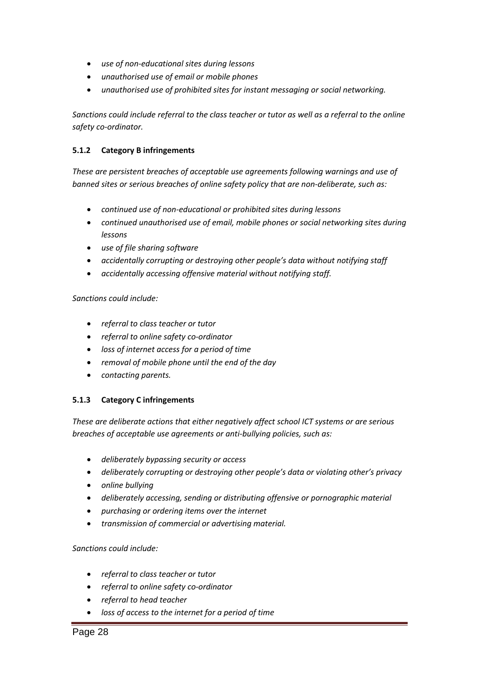- *use of non-educational sites during lessons*
- *unauthorised use of email or mobile phones*
- *unauthorised use of prohibited sites for instant messaging or social networking.*

*Sanctions could include referral to the class teacher or tutor as well as a referral to the online safety co-ordinator.*

### **5.1.2 Category B infringements**

*These are persistent breaches of acceptable use agreements following warnings and use of banned sites or serious breaches of online safety policy that are non-deliberate, such as:*

- *continued use of non-educational or prohibited sites during lessons*
- *continued unauthorised use of email, mobile phones or social networking sites during lessons*
- *use of file sharing software*
- *accidentally corrupting or destroying other people's data without notifying staff*
- *accidentally accessing offensive material without notifying staff.*

### *Sanctions could include:*

- *referral to class teacher or tutor*
- *referral to online safety co-ordinator*
- *loss of internet access for a period of time*
- *removal of mobile phone until the end of the day*
- *contacting parents.*

### **5.1.3 Category C infringements**

*These are deliberate actions that either negatively affect school ICT systems or are serious breaches of acceptable use agreements or anti-bullying policies, such as:*

- *deliberately bypassing security or access*
- *deliberately corrupting or destroying other people's data or violating other's privacy*
- *online bullying*
- *deliberately accessing, sending or distributing offensive or pornographic material*
- *purchasing or ordering items over the internet*
- *transmission of commercial or advertising material.*

### *Sanctions could include:*

- *referral to class teacher or tutor*
- *referral to online safety co-ordinator*
- *referral to head teacher*
- *loss of access to the internet for a period of time*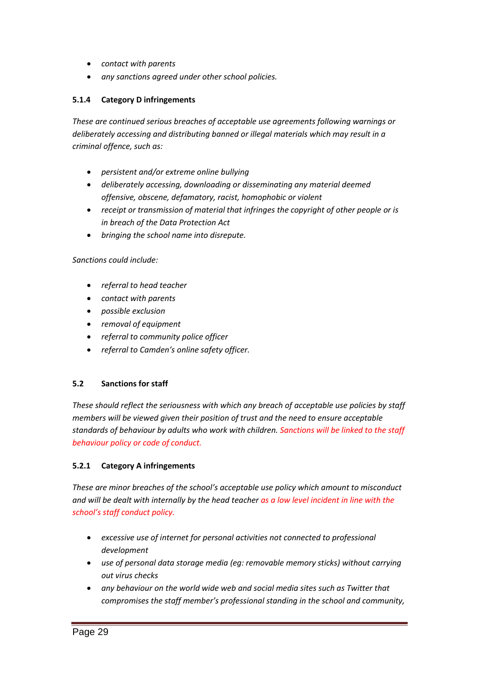- *contact with parents*
- *any sanctions agreed under other school policies.*

### **5.1.4 Category D infringements**

*These are continued serious breaches of acceptable use agreements following warnings or deliberately accessing and distributing banned or illegal materials which may result in a criminal offence, such as:*

- *persistent and/or extreme online bullying*
- *deliberately accessing, downloading or disseminating any material deemed offensive, obscene, defamatory, racist, homophobic or violent*
- *receipt or transmission of material that infringes the copyright of other people or is in breach of the Data Protection Act*
- *bringing the school name into disrepute.*

#### *Sanctions could include:*

- *referral to head teacher*
- *contact with parents*
- *possible exclusion*
- *removal of equipment*
- *referral to community police officer*
- *referral to Camden's online safety officer.*

### **5.2 Sanctions for staff**

*These should reflect the seriousness with which any breach of acceptable use policies by staff members will be viewed given their position of trust and the need to ensure acceptable standards of behaviour by adults who work with children. Sanctions will be linked to the staff behaviour policy or code of conduct.*

### **5.2.1 Category A infringements**

*These are minor breaches of the school's acceptable use policy which amount to misconduct and will be dealt with internally by the head teacher as a low level incident in line with the school's staff conduct policy.*

- *excessive use of internet for personal activities not connected to professional development*
- *use of personal data storage media (eg: removable memory sticks) without carrying out virus checks*
- *any behaviour on the world wide web and social media sites such as Twitter that compromises the staff member's professional standing in the school and community,*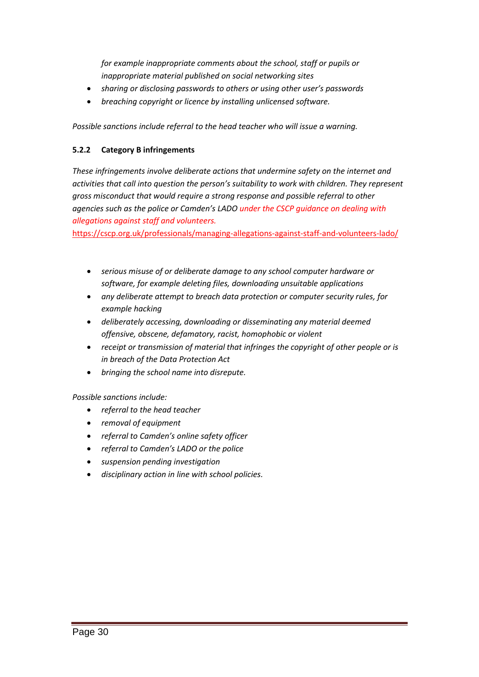*for example inappropriate comments about the school, staff or pupils or inappropriate material published on social networking sites*

- *sharing or disclosing passwords to others or using other user's passwords*
- *breaching copyright or licence by installing unlicensed software.*

*Possible sanctions include referral to the head teacher who will issue a warning.*

### **5.2.2 Category B infringements**

*These infringements involve deliberate actions that undermine safety on the internet and activities that call into question the person's suitability to work with children. They represent gross misconduct that would require a strong response and possible referral to other agencies such as the police or Camden's LADO under the CSCP guidance on dealing with allegations against staff and volunteers.*

<https://cscp.org.uk/professionals/managing-allegations-against-staff-and-volunteers-lado/>

- *serious misuse of or deliberate damage to any school computer hardware or software, for example deleting files, downloading unsuitable applications*
- *any deliberate attempt to breach data protection or computer security rules, for example hacking*
- *deliberately accessing, downloading or disseminating any material deemed offensive, obscene, defamatory, racist, homophobic or violent*
- *receipt or transmission of material that infringes the copyright of other people or is in breach of the Data Protection Act*
- *bringing the school name into disrepute.*

*Possible sanctions include:*

- *referral to the head teacher*
- *removal of equipment*
- *referral to Camden's online safety officer*
- *referral to Camden's LADO or the police*
- *suspension pending investigation*
- *disciplinary action in line with school policies.*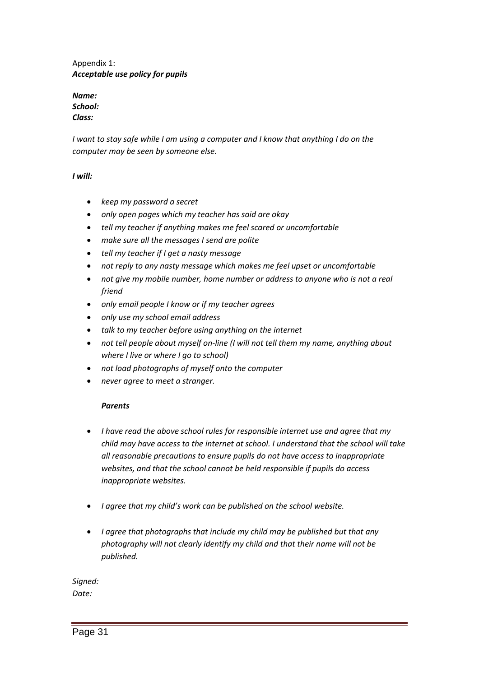Appendix 1: *Acceptable use policy for pupils*

*Name: School: Class:*

*I* want to stay safe while *I* am using a computer and *I* know that anything *I* do on the *computer may be seen by someone else.*

*I will:*

- *keep my password a secret*
- *only open pages which my teacher has said are okay*
- *tell my teacher if anything makes me feel scared or uncomfortable*
- *make sure all the messages I send are polite*
- *tell my teacher if I get a nasty message*
- *not reply to any nasty message which makes me feel upset or uncomfortable*
- *not give my mobile number, home number or address to anyone who is not a real friend*
- *only email people I know or if my teacher agrees*
- *only use my school email address*
- *talk to my teacher before using anything on the internet*
- *not tell people about myself on-line (I will not tell them my name, anything about where I live or where I go to school)*
- *not load photographs of myself onto the computer*
- *never agree to meet a stranger.*

### *Parents*

- *I have read the above school rules for responsible internet use and agree that my child may have access to the internet at school. I understand that the school will take all reasonable precautions to ensure pupils do not have access to inappropriate websites, and that the school cannot be held responsible if pupils do access inappropriate websites.*
- *I agree that my child's work can be published on the school website.*
- *I agree that photographs that include my child may be published but that any photography will not clearly identify my child and that their name will not be published.*

*Signed: Date:*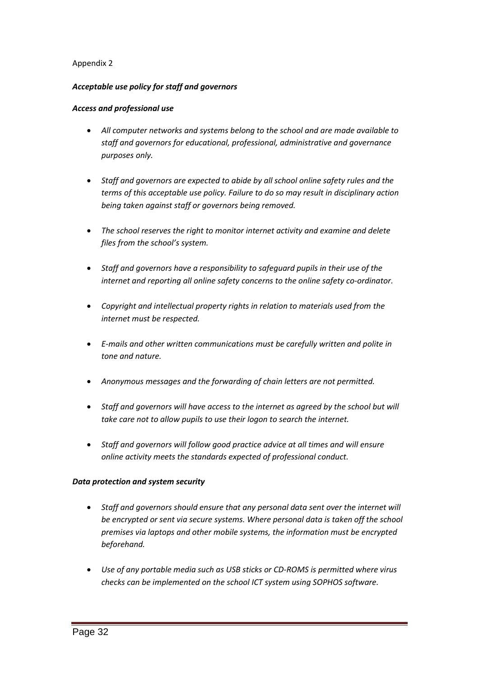### Appendix 2

#### *Acceptable use policy for staff and governors*

#### *Access and professional use*

- *All computer networks and systems belong to the school and are made available to staff and governors for educational, professional, administrative and governance purposes only.*
- *Staff and governors are expected to abide by all school online safety rules and the terms of this acceptable use policy. Failure to do so may result in disciplinary action being taken against staff or governors being removed.*
- *The school reserves the right to monitor internet activity and examine and delete files from the school's system.*
- *Staff and governors have a responsibility to safeguard pupils in their use of the internet and reporting all online safety concerns to the online safety co-ordinator.*
- *Copyright and intellectual property rights in relation to materials used from the internet must be respected.*
- *E-mails and other written communications must be carefully written and polite in tone and nature.*
- *Anonymous messages and the forwarding of chain letters are not permitted.*
- *Staff and governors will have access to the internet as agreed by the school but will take care not to allow pupils to use their logon to search the internet.*
- *Staff and governors will follow good practice advice at all times and will ensure online activity meets the standards expected of professional conduct.*

### *Data protection and system security*

- *Staff and governors should ensure that any personal data sent over the internet will be encrypted or sent via secure systems. Where personal data is taken off the school premises via laptops and other mobile systems, the information must be encrypted beforehand.*
- *Use of any portable media such as USB sticks or CD-ROMS is permitted where virus checks can be implemented on the school ICT system using SOPHOS software.*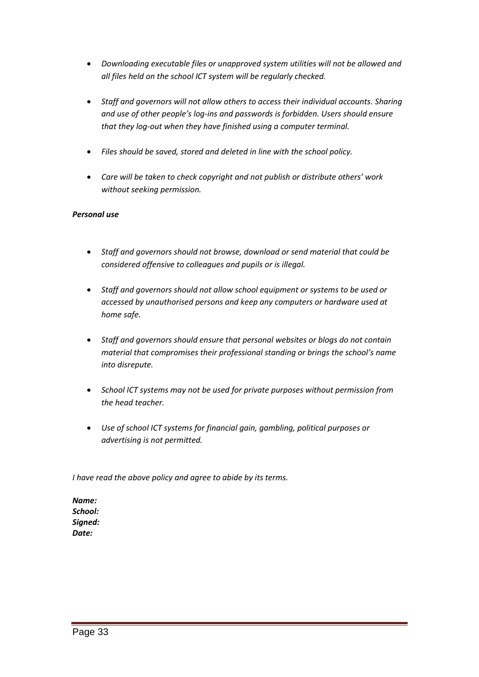- *Downloading executable files or unapproved system utilities will not be allowed and all files held on the school ICT system will be regularly checked.*
- *Staff and governors will not allow others to access their individual accounts. Sharing and use of other people's log-ins and passwords is forbidden. Users should ensure that they log-out when they have finished using a computer terminal.*
- *Files should be saved, stored and deleted in line with the school policy.*
- *Care will be taken to check copyright and not publish or distribute others' work without seeking permission.*

### *Personal use*

- *Staff and governors should not browse, download or send material that could be considered offensive to colleagues and pupils or is illegal.*
- *Staff and governors should not allow school equipment or systems to be used or accessed by unauthorised persons and keep any computers or hardware used at home safe.*
- *Staff and governors should ensure that personal websites or blogs do not contain material that compromises their professional standing or brings the school's name into disrepute.*
- *School ICT systems may not be used for private purposes without permission from the head teacher.*
- *Use of school ICT systems for financial gain, gambling, political purposes or advertising is not permitted.*

*I have read the above policy and agree to abide by its terms.*

*Name: School: Signed: Date:*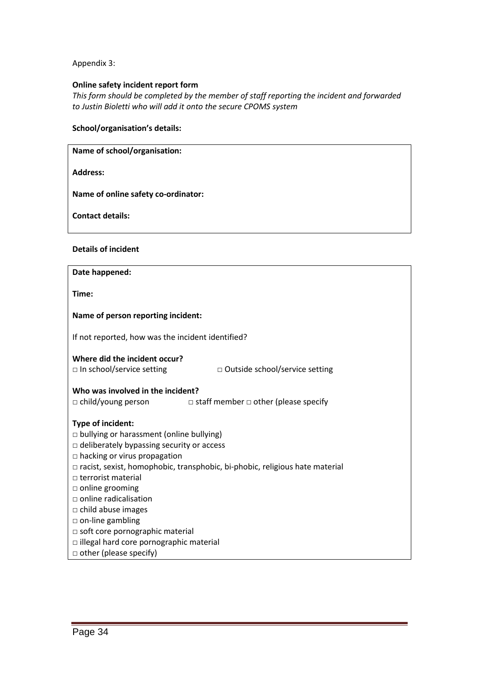Appendix 3:

#### **Online safety incident report form**

*This form should be completed by the member of staff reporting the incident and forwarded to Justin Bioletti who will add it onto the secure CPOMS system*

#### **School/organisation's details:**

**Name of school/organisation:**

**Address:**

**Name of online safety co-ordinator:**

**Contact details:**

**Details of incident**

| Date happened:                                                                                                     |  |  |  |  |
|--------------------------------------------------------------------------------------------------------------------|--|--|--|--|
| Time:                                                                                                              |  |  |  |  |
| Name of person reporting incident:                                                                                 |  |  |  |  |
| If not reported, how was the incident identified?                                                                  |  |  |  |  |
| Where did the incident occur?<br>$\Box$ In school/service setting<br>$\Box$ Outside school/service setting         |  |  |  |  |
| Who was involved in the incident?<br>$\Box$ child/young person<br>$\Box$ staff member $\Box$ other (please specify |  |  |  |  |
| Type of incident:                                                                                                  |  |  |  |  |
| □ bullying or harassment (online bullying)                                                                         |  |  |  |  |
| $\Box$ deliberately bypassing security or access                                                                   |  |  |  |  |
| $\Box$ hacking or virus propagation                                                                                |  |  |  |  |
| $\Box$ racist, sexist, homophobic, transphobic, bi-phobic, religious hate material                                 |  |  |  |  |
| $\Box$ terrorist material                                                                                          |  |  |  |  |
| $\Box$ online grooming                                                                                             |  |  |  |  |
| $\Box$ online radicalisation                                                                                       |  |  |  |  |
| $\Box$ child abuse images                                                                                          |  |  |  |  |
| $\Box$ on-line gambling<br>$\Box$ soft core pornographic material                                                  |  |  |  |  |
| $\Box$ illegal hard core pornographic material                                                                     |  |  |  |  |
| other (please specify)                                                                                             |  |  |  |  |